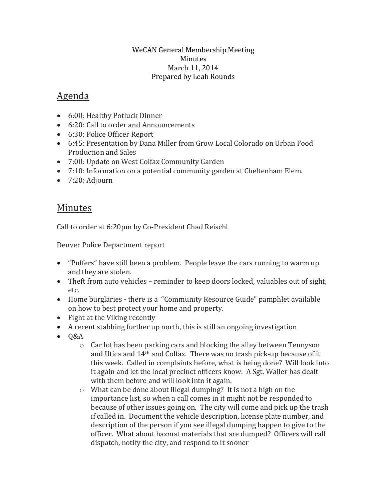### WeCAN General Membership Meeting Minutes March 11, 2014 Prepared by Leah Rounds

# Agenda

- 6:00: Healthy Potluck Dinner
- 6:20: Call to order and Announcements
- 6:30: Police Officer Report
- 6:45: Presentation by Dana Miller from Grow Local Colorado on Urban Food Production and Sales
- 7:00: Update on West Colfax Community Garden
- 7:10: Information on a potential community garden at Cheltenham Elem.
- 7:20: Adjourn

## Minutes

Call to order at 6:20pm by Co-President Chad Reischl

Denver Police Department report

- "Puffers" have still been a problem. People leave the cars running to warm up and they are stolen.
- Theft from auto vehicles reminder to keep doors locked, valuables out of sight, etc.
- Home burglaries there is a "Community Resource Guide" pamphlet available on how to best protect your home and property.
- Fight at the Viking recently
- A recent stabbing further up north, this is still an ongoing investigation
- $-0&A$ 
	- $\circ$  Car lot has been parking cars and blocking the alley between Tennyson and Utica and 14th and Colfax. There was no trash pick-up because of it this week. Called in complaints before, what is being done? Will look into it again and let the local precinct officers know. A Sgt. Wailer has dealt with them before and will look into it again.
	- o What can be done about illegal dumping? It is not a high on the importance list, so when a call comes in it might not be responded to because of other issues going on. The city will come and pick up the trash if called in. Document the vehicle description, license plate number, and description of the person if you see illegal dumping happen to give to the officer. What about hazmat materials that are dumped? Officers will call dispatch, notify the city, and respond to it sooner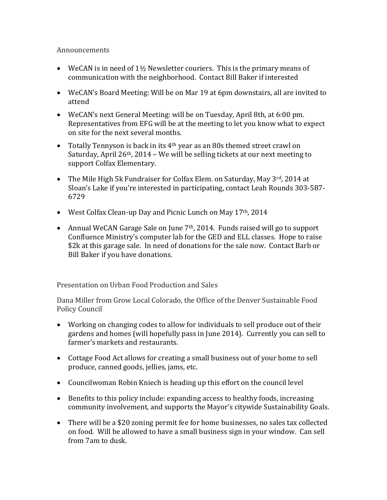#### Announcements

- WeCAN is in need of  $1\frac{1}{2}$  Newsletter couriers. This is the primary means of communication with the neighborhood. Contact Bill Baker if interested
- WeCAN's Board Meeting: Will be on Mar 19 at 6pm downstairs, all are invited to attend
- WeCAN's next General Meeting: will be on Tuesday, April 8th, at 6:00 pm. Representatives from EFG will be at the meeting to let you know what to expect on site for the next several months.
- Totally Tennyson is back in its 4<sup>th</sup> year as an 80s themed street crawl on Saturday, April 26th, 2014 – We will be selling tickets at our next meeting to support Colfax Elementary.
- The Mile High 5k Fundraiser for Colfax Elem. on Saturday, May 3rd, 2014 at Sloan's Lake if you're interested in participating, contact Leah Rounds 303-587- 6729
- West Colfax Clean-up Day and Picnic Lunch on May 17<sup>th</sup>, 2014
- Annual WeCAN Garage Sale on June 7<sup>th</sup>, 2014. Funds raised will go to support Confluence Ministry's computer lab for the GED and ELL classes. Hope to raise \$2k at this garage sale. In need of donations for the sale now. Contact Barb or Bill Baker if you have donations.

Presentation on Urban Food Production and Sales

Dana Miller from Grow Local Colorado, the Office of the Denver Sustainable Food Policy Council

- Working on changing codes to allow for individuals to sell produce out of their gardens and homes (will hopefully pass in June 2014). Currently you can sell to farmer's markets and restaurants.
- Cottage Food Act allows for creating a small business out of your home to sell produce, canned goods, jellies, jams, etc.
- Councilwoman Robin Kniech is heading up this effort on the council level
- Benefits to this policy include: expanding access to healthy foods, increasing community involvement, and supports the Mayor's citywide Sustainability Goals.
- There will be a \$20 zoning permit fee for home businesses, no sales tax collected on food. Will be allowed to have a small business sign in your window. Can sell from 7am to dusk.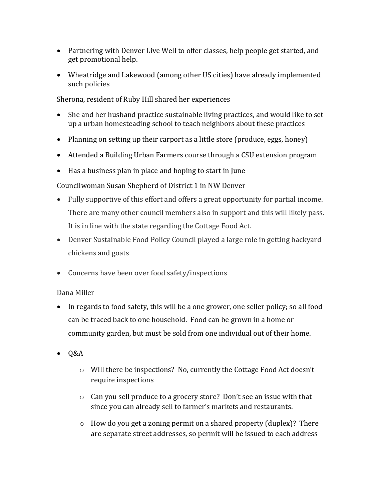- Partnering with Denver Live Well to offer classes, help people get started, and get promotional help.
- Wheatridge and Lakewood (among other US cities) have already implemented such policies

Sherona, resident of Ruby Hill shared her experiences

- She and her husband practice sustainable living practices, and would like to set up a urban homesteading school to teach neighbors about these practices
- Planning on setting up their carport as a little store (produce, eggs, honey)
- Attended a Building Urban Farmers course through a CSU extension program
- Has a business plan in place and hoping to start in June

Councilwoman Susan Shepherd of District 1 in NW Denver

- Fully supportive of this effort and offers a great opportunity for partial income. There are many other council members also in support and this will likely pass. It is in line with the state regarding the Cottage Food Act.
- Denver Sustainable Food Policy Council played a large role in getting backyard chickens and goats
- Concerns have been over food safety/inspections

### Dana Miller

- In regards to food safety, this will be a one grower, one seller policy; so all food can be traced back to one household. Food can be grown in a home or community garden, but must be sold from one individual out of their home.
- $\bullet$  Q&A
	- o Will there be inspections? No, currently the Cottage Food Act doesn't require inspections
	- o Can you sell produce to a grocery store? Don't see an issue with that since you can already sell to farmer's markets and restaurants.
	- o How do you get a zoning permit on a shared property (duplex)? There are separate street addresses, so permit will be issued to each address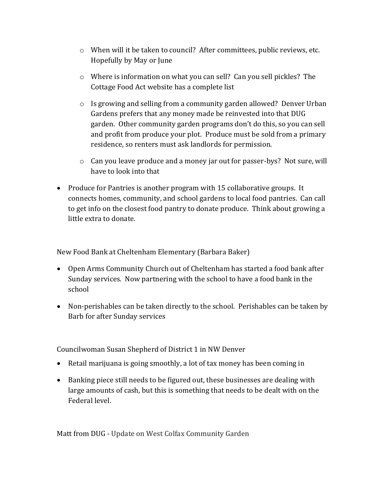- o When will it be taken to council? After committees, public reviews, etc. Hopefully by May or June
- o Where is information on what you can sell? Can you sell pickles? The Cottage Food Act website has a complete list
- o Is growing and selling from a community garden allowed? Denver Urban Gardens prefers that any money made be reinvested into that DUG garden. Other community garden programs don't do this, so you can sell and profit from produce your plot. Produce must be sold from a primary residence, so renters must ask landlords for permission.
- $\circ$  Can you leave produce and a money jar out for passer-bys? Not sure, will have to look into that
- Produce for Pantries is another program with 15 collaborative groups. It connects homes, community, and school gardens to local food pantries. Can call to get info on the closest food pantry to donate produce. Think about growing a little extra to donate.

New Food Bank at Cheltenham Elementary (Barbara Baker)

- Open Arms Community Church out of Cheltenham has started a food bank after Sunday services. Now partnering with the school to have a food bank in the school
- Non-perishables can be taken directly to the school. Perishables can be taken by Barb for after Sunday services

Councilwoman Susan Shepherd of District 1 in NW Denver

- Retail marijuana is going smoothly, a lot of tax money has been coming in
- Banking piece still needs to be figured out, these businesses are dealing with large amounts of cash, but this is something that needs to be dealt with on the Federal level.

Matt from DUG - Update on West Colfax Community Garden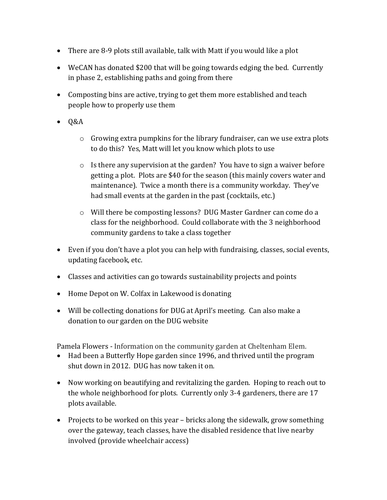- There are 8-9 plots still available, talk with Matt if you would like a plot
- WeCAN has donated \$200 that will be going towards edging the bed. Currently in phase 2, establishing paths and going from there
- Composting bins are active, trying to get them more established and teach people how to properly use them
- $\bullet$  Q&A
	- $\circ$  Growing extra pumpkins for the library fundraiser, can we use extra plots to do this? Yes, Matt will let you know which plots to use
	- $\circ$  Is there any supervision at the garden? You have to sign a waiver before getting a plot. Plots are \$40 for the season (this mainly covers water and maintenance). Twice a month there is a community workday. They've had small events at the garden in the past (cocktails, etc.)
	- o Will there be composting lessons? DUG Master Gardner can come do a class for the neighborhood. Could collaborate with the 3 neighborhood community gardens to take a class together
- Even if you don't have a plot you can help with fundraising, classes, social events, updating facebook, etc.
- Classes and activities can go towards sustainability projects and points
- Home Depot on W. Colfax in Lakewood is donating
- Will be collecting donations for DUG at April's meeting. Can also make a donation to our garden on the DUG website

Pamela Flowers - Information on the community garden at Cheltenham Elem.

- Had been a Butterfly Hope garden since 1996, and thrived until the program shut down in 2012. DUG has now taken it on.
- Now working on beautifying and revitalizing the garden. Hoping to reach out to the whole neighborhood for plots. Currently only 3-4 gardeners, there are 17 plots available.
- Projects to be worked on this year bricks along the sidewalk, grow something over the gateway, teach classes, have the disabled residence that live nearby involved (provide wheelchair access)